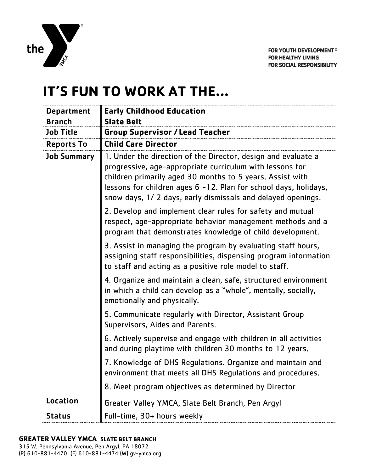

## **IT'S FUN TO WORK AT THE…**

| <b>Department</b>  | <b>Early Childhood Education</b>                                                                                                                                                                                                                                                                                          |
|--------------------|---------------------------------------------------------------------------------------------------------------------------------------------------------------------------------------------------------------------------------------------------------------------------------------------------------------------------|
| <b>Branch</b>      | <b>Slate Belt</b>                                                                                                                                                                                                                                                                                                         |
| <b>Job Title</b>   | <b>Group Supervisor / Lead Teacher</b>                                                                                                                                                                                                                                                                                    |
| <b>Reports To</b>  | <b>Child Care Director</b>                                                                                                                                                                                                                                                                                                |
| <b>Job Summary</b> | 1. Under the direction of the Director, design and evaluate a<br>progressive, age-appropriate curriculum with lessons for<br>children primarily aged 30 months to 5 years. Assist with<br>lessons for children ages 6 -12. Plan for school days, holidays,<br>snow days, 1/2 days, early dismissals and delayed openings. |
|                    | 2. Develop and implement clear rules for safety and mutual<br>respect, age-appropriate behavior management methods and a<br>program that demonstrates knowledge of child development.                                                                                                                                     |
|                    | 3. Assist in managing the program by evaluating staff hours,<br>assigning staff responsibilities, dispensing program information<br>to staff and acting as a positive role model to staff.                                                                                                                                |
|                    | 4. Organize and maintain a clean, safe, structured environment<br>in which a child can develop as a "whole", mentally, socially,<br>emotionally and physically.                                                                                                                                                           |
|                    | 5. Communicate regularly with Director, Assistant Group<br>Supervisors, Aides and Parents.                                                                                                                                                                                                                                |
|                    | 6. Actively supervise and engage with children in all activities<br>and during playtime with children 30 months to 12 years.                                                                                                                                                                                              |
|                    | 7. Knowledge of DHS Regulations. Organize and maintain and<br>environment that meets all DHS Regulations and procedures.                                                                                                                                                                                                  |
|                    | 8. Meet program objectives as determined by Director                                                                                                                                                                                                                                                                      |
| Location           | Greater Valley YMCA, Slate Belt Branch, Pen Argyl                                                                                                                                                                                                                                                                         |
| <b>Status</b>      | Full-time, 30+ hours weekly                                                                                                                                                                                                                                                                                               |

## **GREATER VALLEY YMCA SLATE BELT BRANCH**

315 W. Pennsylvania Avenue, Pen Argyl, PA 18072 (P) 610-881-4470 (F) 610-881-4474 (W) gv-ymca.org